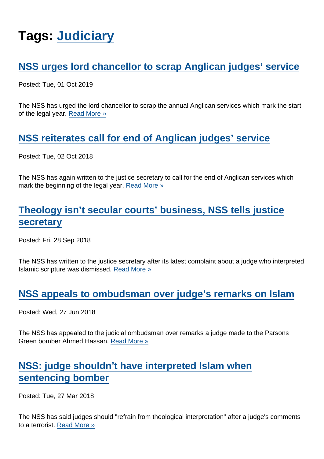# Tags: [Judiciary](https://www.secularism.org.uk/news/tags/Judiciary)

## [NSS urges lord chancellor to scrap Anglican judges' service](https://www.secularism.org.uk/news/2019/10/nss-urges-lord-chancellor-to-scrap-anglican-judges-service)

Posted: Tue, 01 Oct 2019

The NSS has urged the lord chancellor to scrap the annual Anglican services which mark the start of the legal year. [Read More »](https://www.secularism.org.uk/news/2019/10/nss-urges-lord-chancellor-to-scrap-anglican-judges-service)

[NSS reiterates call for end of Anglican judges' service](https://www.secularism.org.uk/news/2018/10/nss-reiterates-call-for-end-of-anglican-judges-service)

Posted: Tue, 02 Oct 2018

The NSS has again written to the justice secretary to call for the end of Anglican services which mark the beginning of the legal year. [Read More »](https://www.secularism.org.uk/news/2018/10/nss-reiterates-call-for-end-of-anglican-judges-service)

# [Theology isn't secular courts' business, NSS tells justice](https://www.secularism.org.uk/news/2018/09/theology-isnt-secular-courts-business-nss-tells-justice-secretary) [secretary](https://www.secularism.org.uk/news/2018/09/theology-isnt-secular-courts-business-nss-tells-justice-secretary)

Posted: Fri, 28 Sep 2018

The NSS has written to the justice secretary after its latest complaint about a judge who interpreted Islamic scripture was dismissed. [Read More »](https://www.secularism.org.uk/news/2018/09/theology-isnt-secular-courts-business-nss-tells-justice-secretary)

#### [NSS appeals to ombudsman over judge's remarks on Islam](https://www.secularism.org.uk/news/2018/06/nss-appeals-to-ombudsman-over-judges-remarks-on-islam)

Posted: Wed, 27 Jun 2018

The NSS has appealed to the judicial ombudsman over remarks a judge made to the Parsons Green bomber Ahmed Hassan. [Read More »](https://www.secularism.org.uk/news/2018/06/nss-appeals-to-ombudsman-over-judges-remarks-on-islam)

### [NSS: judge shouldn't have interpreted Islam when](https://www.secularism.org.uk/news/2018/03/nss-judge-shouldnt-have-interpreted-islam-when-sentencing-bomber) [sentencing bomber](https://www.secularism.org.uk/news/2018/03/nss-judge-shouldnt-have-interpreted-islam-when-sentencing-bomber)

Posted: Tue, 27 Mar 2018

The NSS has said judges should "refrain from theological interpretation" after a judge's comments to a terrorist. [Read More »](https://www.secularism.org.uk/news/2018/03/nss-judge-shouldnt-have-interpreted-islam-when-sentencing-bomber)